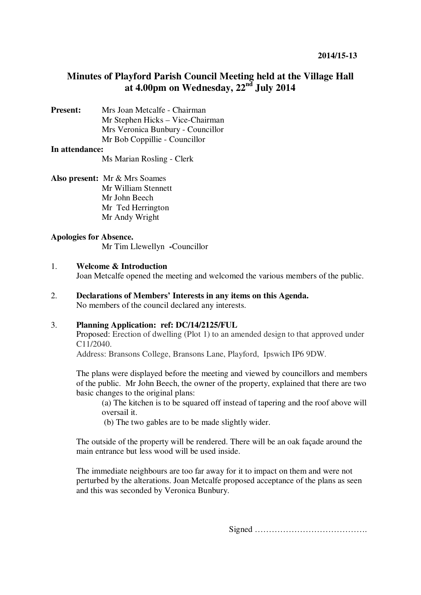# **Minutes of Playford Parish Council Meeting held at the Village Hall at 4.00pm on Wednesday, 22nd July 2014**

**Present:** Mrs Joan Metcalfe - Chairman Mr Stephen Hicks – Vice-Chairman Mrs Veronica Bunbury - Councillor Mr Bob Coppillie - Councillor

#### **In attendance:**

Ms Marian Rosling - Clerk

**Also present:** Mr & Mrs Soames Mr William Stennett Mr John Beech Mr Ted Herrington Mr Andy Wright

#### **Apologies for Absence.**

Mr Tim Llewellyn **-**Councillor

#### 1. **Welcome & Introduction**

Joan Metcalfe opened the meeting and welcomed the various members of the public.

2. **Declarations of Members' Interests in any items on this Agenda.**  No members of the council declared any interests.

## 3. **Planning Application: ref: DC/14/2125/FUL**

Proposed: Erection of dwelling (Plot 1) to an amended design to that approved under C11/2040.

Address: Bransons College, Bransons Lane, Playford, Ipswich IP6 9DW.

The plans were displayed before the meeting and viewed by councillors and members of the public. Mr John Beech, the owner of the property, explained that there are two basic changes to the original plans:

(a) The kitchen is to be squared off instead of tapering and the roof above will oversail it.

(b) The two gables are to be made slightly wider.

The outside of the property will be rendered. There will be an oak façade around the main entrance but less wood will be used inside.

The immediate neighbours are too far away for it to impact on them and were not perturbed by the alterations. Joan Metcalfe proposed acceptance of the plans as seen and this was seconded by Veronica Bunbury.

Signed ………………………………….